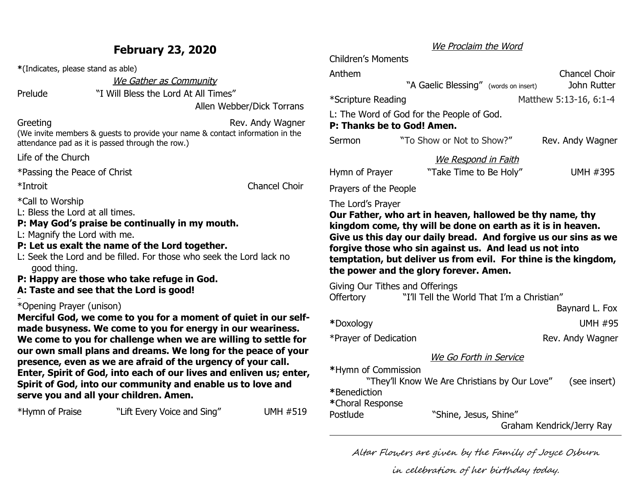### **February 23, 2020**

**\***(Indicates, please stand as able)

We Gather as Community

Prelude "I Will Bless the Lord At All Times"

Allen Webber/Dick Torrans

Greeting Greeting Contract Contract Contract Contract Rev. Andy Wagner (We invite members & guests to provide your name & contact information in the attendance pad as it is passed through the row.)

Life of the Church

\*Passing the Peace of Christ

\*Introit Chancel Choir

\*Call to Worship L: Bless the Lord at all times.

### **P: May God's praise be continually in my mouth.**

- L: Magnify the Lord with me.
- **P: Let us exalt the name of the Lord together.**
- L: Seek the Lord and be filled. For those who seek the Lord lack no good thing.
- **P: Happy are those who take refuge in God.**
- **A: Taste and see that the Lord is good!**

#### \*Opening Prayer (unison)

**Merciful God, we come to you for a moment of quiet in our selfmade busyness. We come to you for energy in our weariness. We come to you for challenge when we are willing to settle for our own small plans and dreams. We long for the peace of your presence, even as we are afraid of the urgency of your call. Enter, Spirit of God, into each of our lives and enliven us; enter, Spirit of God, into our community and enable us to love and serve you and all your children. Amen.**

| *Hymn of Praise | "Lift Every Voice and Sing" | <b>UMH #519</b> |
|-----------------|-----------------------------|-----------------|
|                 |                             |                 |

### We Proclaim the Word

Children's Moments

| Anthem                     | "A Gaelic Blessing" (words on insert)     | <b>Chancel Choir</b><br>John Rutter |
|----------------------------|-------------------------------------------|-------------------------------------|
| *Scripture Reading         |                                           | Matthew 5:13-16, 6:1-4              |
| P: Thanks be to God! Amen. | L: The Word of God for the People of God. |                                     |
| Sermon                     | "To Show or Not to Show?"                 | Rev. Andy Wagner                    |
|                            | We Respond in Faith                       |                                     |
| Hymn of Prayer             | "Take Time to Be Holy"                    | <b>UMH #395</b>                     |

Prayers of the People

The Lord's Prayer

**Our Father, who art in heaven, hallowed be thy name, thy kingdom come, thy will be done on earth as it is in heaven. Give us this day our daily bread. And forgive us our sins as we forgive those who sin against us. And lead us not into temptation, but deliver us from evil. For thine is the kingdom, the power and the glory forever. Amen.**

Giving Our Tithes and Offerings

| <b>Offertory</b>      | "I'll Tell the World That I'm a Christian" |
|-----------------------|--------------------------------------------|
|                       | Baynard L. Fox                             |
| *Doxology             | <b>UMH #95</b>                             |
| *Prayer of Dedication | Rev. Andy Wagner                           |

### We Go Forth in Service

**\***Hymn of Commission

"They'll Know We Are Christians by Our Love" (see insert)

**\***Benediction

**\***Choral Response

Postlude "Shine, Jesus, Shine"

Graham Kendrick/Jerry Ray

Altar Flowers are given by the Family of Joyce Osburn

in celebration of her birthday today.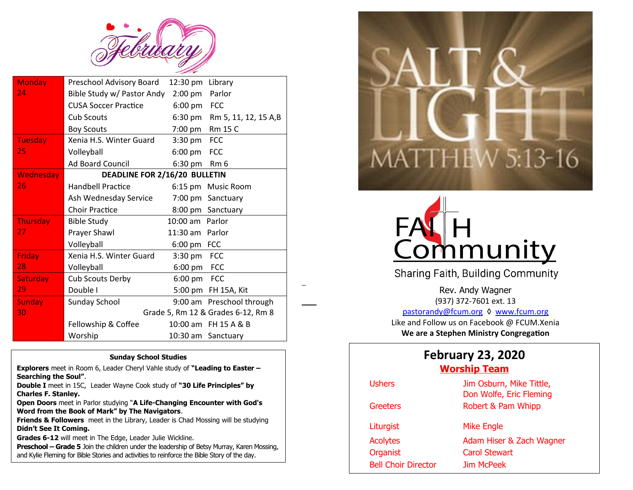

| <b>Monday</b>    | Preschool Advisory Board      | 12:30 pm          | Library                            |
|------------------|-------------------------------|-------------------|------------------------------------|
| 24               | Bible Study w/ Pastor Andy    | $2:00$ pm         | Parlor                             |
|                  | <b>CUSA Soccer Practice</b>   | $6:00 \text{ pm}$ | <b>FCC</b>                         |
|                  | <b>Cub Scouts</b>             | $6:30 \text{ pm}$ | Rm 5, 11, 12, 15 A,B               |
|                  | <b>Boy Scouts</b>             | 7:00 pm           | <b>Rm 15 C</b>                     |
| <b>Tuesday</b>   | Xenia H.S. Winter Guard       | $3:30 \text{ pm}$ | <b>FCC</b>                         |
| 25               | Volleyball                    | $6:00 \text{ pm}$ | <b>FCC</b>                         |
|                  | <b>Ad Board Council</b>       | 6:30 pm           | Rm 6                               |
| <b>Wednesday</b> | DEADLINE FOR 2/16/20 BULLETIN |                   |                                    |
| 26               | <b>Handbell Practice</b>      |                   | 6:15 pm Music Room                 |
|                  | Ash Wednesday Service         |                   | 7:00 pm Sanctuary                  |
|                  | <b>Choir Practice</b>         |                   | 8:00 pm Sanctuary                  |
| <b>Thursday</b>  | <b>Bible Study</b>            | 10:00 am Parlor   |                                    |
| 27.              | Prayer Shawl                  | 11:30 am Parlor   |                                    |
|                  | Volleyball                    | 6:00 pm FCC       |                                    |
| Friday           | Xenia H.S. Winter Guard       | $3:30 \text{ pm}$ | <b>FCC</b>                         |
| 28               | Volleyball                    | 6:00 pm FCC       |                                    |
| Saturday         | Cub Scouts Derby              | $6:00 \text{ pm}$ | <b>FCC</b>                         |
| 29               | Double I                      | 5:00 pm           | FH 15A, Kit                        |
| <b>Sunday</b>    | Sunday School                 |                   | 9:00 am Preschool through          |
| 30               |                               |                   | Grade 5, Rm 12 & Grades 6-12, Rm 8 |
|                  | Fellowship & Coffee           |                   | 10:00 am FH 15 A & B               |
|                  | Worship                       |                   | 10:30 am Sanctuary                 |

.

#### **Sunday School Studies**

**Explorers** meet in Room 6, Leader Cheryl Vahle study of **"Leading to Easter – Searching the Soul"**.

**Double I** meet in 15C, Leader Wayne Cook study of **"30 Life Principles" by Charles F. Stanley.**

**Open Doors** meet in Parlor studying "**A Life-Changing Encounter with God's Word from the Book of Mark" by The Navigators**.

**Friends & Followers** meet in the Library, Leader is Chad Mossing will be studying **Didn't See It Coming.**

**Grades 6-12** will meet in The Edge, Leader Julie Wickline.

**Preschool – Grade 5** Join the children under the leadership of Betsy Murray, Karen Mossing, and Kylie Fleming for Bible Stories and activities to reinforce the Bible Story of the day.





**Sharing Faith, Building Community** 

Rev. Andy Wagner (937) 372-7601 ext. 13 [pastorandy@fcum.org](mailto:pastorandy@fcum.org) ♦ [www.fcum.org](http://www.fcum.org/) Like and Follow us on Facebook @ FCUM.Xenia **We are a Stephen Ministry Congregation**

### **February 23, 2020 Worship Team**

| <b>Ushers</b>              | Jim Osburn, Mike Tittle,<br>Don Wolfe, Eric Fleming |
|----------------------------|-----------------------------------------------------|
| Greeters                   | Robert & Pam Whipp                                  |
| Liturgist                  | <b>Mike Engle</b>                                   |
| <b>Acolytes</b>            | Adam Hiser & Zach Wagner                            |
| Organist                   | <b>Carol Stewart</b>                                |
| <b>Bell Choir Director</b> | Jim McPeek                                          |